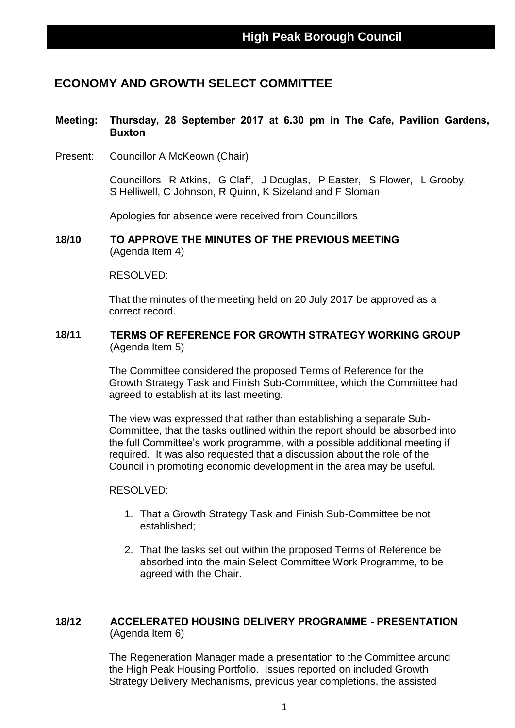## **ECONOMY AND GROWTH SELECT COMMITTEE**

#### **Meeting: Thursday, 28 September 2017 at 6.30 pm in The Cafe, Pavilion Gardens, Buxton**

Present: Councillor A McKeown (Chair)

Councillors R Atkins, G Claff, J Douglas, P Easter, S Flower, L Grooby, S Helliwell, C Johnson, R Quinn, K Sizeland and F Sloman

Apologies for absence were received from Councillors

**18/10 TO APPROVE THE MINUTES OF THE PREVIOUS MEETING** (Agenda Item 4)

#### RESOLVED:

That the minutes of the meeting held on 20 July 2017 be approved as a correct record.

#### **18/11 TERMS OF REFERENCE FOR GROWTH STRATEGY WORKING GROUP** (Agenda Item 5)

The Committee considered the proposed Terms of Reference for the Growth Strategy Task and Finish Sub-Committee, which the Committee had agreed to establish at its last meeting.

The view was expressed that rather than establishing a separate Sub-Committee, that the tasks outlined within the report should be absorbed into the full Committee's work programme, with a possible additional meeting if required. It was also requested that a discussion about the role of the Council in promoting economic development in the area may be useful.

#### RESOLVED:

- 1. That a Growth Strategy Task and Finish Sub-Committee be not established;
- 2. That the tasks set out within the proposed Terms of Reference be absorbed into the main Select Committee Work Programme, to be agreed with the Chair.

#### **18/12 ACCELERATED HOUSING DELIVERY PROGRAMME - PRESENTATION** (Agenda Item 6)

The Regeneration Manager made a presentation to the Committee around the High Peak Housing Portfolio. Issues reported on included Growth Strategy Delivery Mechanisms, previous year completions, the assisted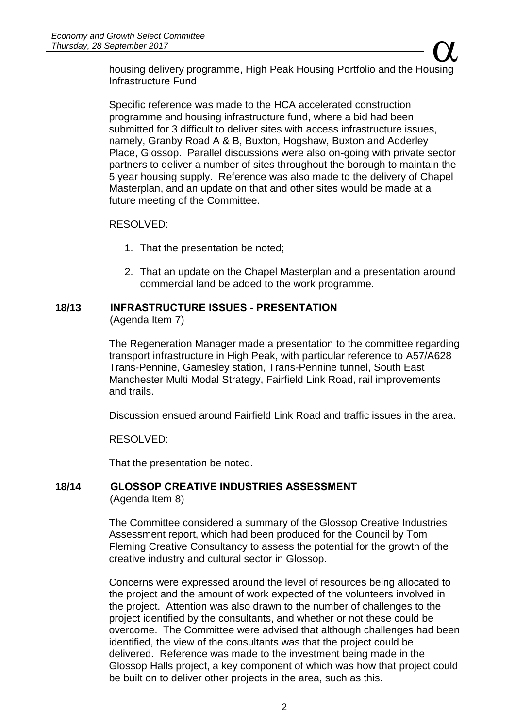Growth Select Committee<br>Neptember 2017<br>housing delivery programme, High Peak Housing Portfolio and the Housing Infrastructure Fund

Specific reference was made to the HCA accelerated construction programme and housing infrastructure fund, where a bid had been submitted for 3 difficult to deliver sites with access infrastructure issues. namely, Granby Road A & B, Buxton, Hogshaw, Buxton and Adderley Place, Glossop. Parallel discussions were also on-going with private sector partners to deliver a number of sites throughout the borough to maintain the 5 year housing supply. Reference was also made to the delivery of Chapel Masterplan, and an update on that and other sites would be made at a future meeting of the Committee.

#### RESOLVED:

- 1. That the presentation be noted;
- 2. That an update on the Chapel Masterplan and a presentation around commercial land be added to the work programme.

### **18/13 INFRASTRUCTURE ISSUES - PRESENTATION**

(Agenda Item 7)

The Regeneration Manager made a presentation to the committee regarding transport infrastructure in High Peak, with particular reference to A57/A628 Trans-Pennine, Gamesley station, Trans-Pennine tunnel, South East Manchester Multi Modal Strategy, Fairfield Link Road, rail improvements and trails.

Discussion ensued around Fairfield Link Road and traffic issues in the area.

RESOLVED:

That the presentation be noted.

#### **18/14 GLOSSOP CREATIVE INDUSTRIES ASSESSMENT** (Agenda Item 8)

The Committee considered a summary of the Glossop Creative Industries Assessment report, which had been produced for the Council by Tom Fleming Creative Consultancy to assess the potential for the growth of the creative industry and cultural sector in Glossop.

Concerns were expressed around the level of resources being allocated to the project and the amount of work expected of the volunteers involved in the project. Attention was also drawn to the number of challenges to the project identified by the consultants, and whether or not these could be overcome. The Committee were advised that although challenges had been identified, the view of the consultants was that the project could be delivered. Reference was made to the investment being made in the Glossop Halls project, a key component of which was how that project could be built on to deliver other projects in the area, such as this.